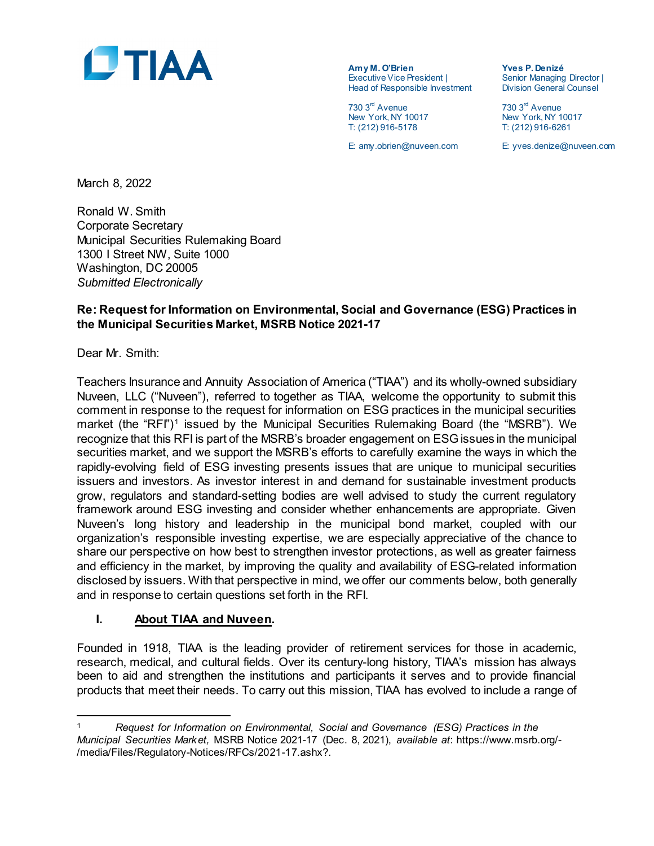

**Amy M. O'Brien Yves P. Denizé** Executive Vice President | Senior Managing Director<br>
Head of Responsible Investment | Division General Counsel Head of Responsible Investment

730 3rd Avenue 730 3rd Avenue New York, NY 10017 T: (212) 916-5178 T: (212) 916-6261

E: amy.obrien@nuveen.com E: yves.denize@nuveen.com

March 8, 2022

Ronald W. Smith Corporate Secretary Municipal Securities Rulemaking Board 1300 I Street NW, Suite 1000 Washington, DC 20005 *Submitted Electronically*

## **Re: Request for Information on Environmental, Social and Governance (ESG) Practices in the Municipal Securities Market, MSRB Notice 2021-17**

Dear Mr. Smith:

l

Teachers Insurance and Annuity Association of America ("TIAA") and its wholly-owned subsidiary Nuveen, LLC ("Nuveen"), referred to together as TIAA, welcome the opportunity to submit this comment in response to the request for information on ESG practices in the municipal securities market (the "RFI")<sup>[1](#page-0-0)</sup> issued by the Municipal Securities Rulemaking Board (the "MSRB"). We recognize that this RFI is part of the MSRB's broader engagement on ESG issues in the municipal securities market, and we support the MSRB's efforts to carefully examine the ways in which the rapidly-evolving field of ESG investing presents issues that are unique to municipal securities issuers and investors. As investor interest in and demand for sustainable investment products grow, regulators and standard-setting bodies are well advised to study the current regulatory framework around ESG investing and consider whether enhancements are appropriate. Given Nuveen's long history and leadership in the municipal bond market, coupled with our organization's responsible investing expertise, we are especially appreciative of the chance to share our perspective on how best to strengthen investor protections, as well as greater fairness and efficiency in the market, by improving the quality and availability of ESG-related information disclosed by issuers. With that perspective in mind, we offer our comments below, both generally and in response to certain questions set forth in the RFI.

#### **I. About TIAA and Nuveen.**

Founded in 1918, TIAA is the leading provider of retirement services for those in academic, research, medical, and cultural fields. Over its century-long history, TIAA's mission has always been to aid and strengthen the institutions and participants it serves and to provide financial products that meet their needs. To carry out this mission, TIAA has evolved to include a range of

<span id="page-0-0"></span><sup>1</sup> *Request for Information on Environmental, Social and Governance (ESG) Practices in the Municipal Securities Market,* MSRB Notice 2021-17 (Dec. 8, 2021), *available at*: https://www.msrb.org/- /media/Files/Regulatory-Notices/RFCs/2021-17.ashx?.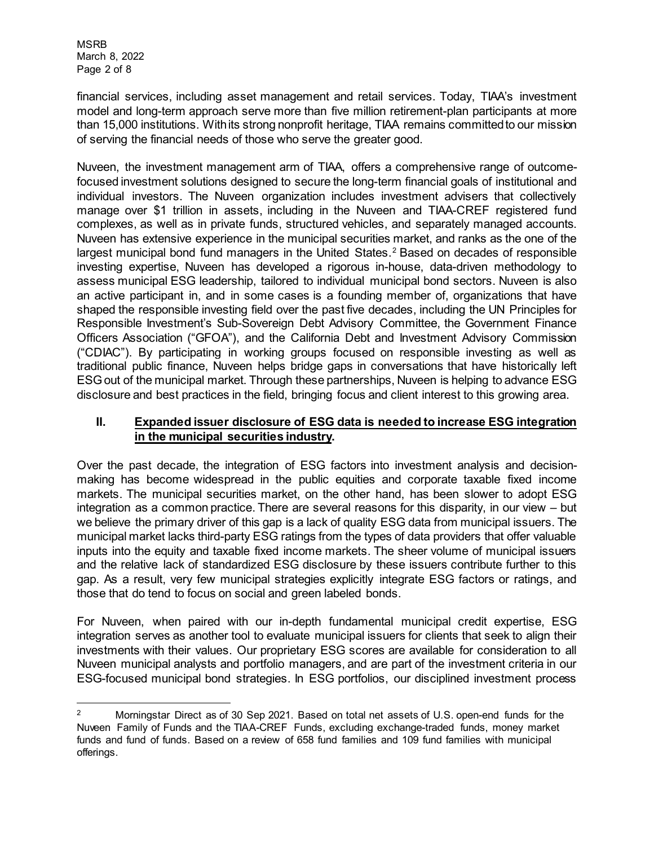MSRB March 8, 2022 Page 2 of 8

financial services, including asset management and retail services. Today, TIAA's investment model and long-term approach serve more than five million retirement-plan participants at more than 15,000 institutions. With its strong nonprofit heritage, TIAA remains committed to our mission of serving the financial needs of those who serve the greater good.

Nuveen, the investment management arm of TIAA, offers a comprehensive range of outcomefocused investment solutions designed to secure the long-term financial goals of institutional and individual investors. The Nuveen organization includes investment advisers that collectively manage over \$1 trillion in assets, including in the Nuveen and TIAA-CREF registered fund complexes, as well as in private funds, structured vehicles, and separately managed accounts. Nuveen has extensive experience in the municipal securities market, and ranks as the one of the largest municipal bond fund managers in the United States.<sup>[2](#page-1-0)</sup> Based on decades of responsible investing expertise, Nuveen has developed a rigorous in-house, data-driven methodology to assess municipal ESG leadership, tailored to individual municipal bond sectors. Nuveen is also an active participant in, and in some cases is a founding member of, organizations that have shaped the responsible investing field over the past five decades, including the UN Principles for Responsible Investment's Sub-Sovereign Debt Advisory Committee, the Government Finance Officers Association ("GFOA"), and the California Debt and Investment Advisory Commission ("CDIAC"). By participating in working groups focused on responsible investing as well as traditional public finance, Nuveen helps bridge gaps in conversations that have historically left ESG out of the municipal market. Through these partnerships, Nuveen is helping to advance ESG disclosure and best practices in the field, bringing focus and client interest to this growing area.

## **II. Expanded issuer disclosure of ESG data is needed to increase ESG integration in the municipal securities industry.**

Over the past decade, the integration of ESG factors into investment analysis and decisionmaking has become widespread in the public equities and corporate taxable fixed income markets. The municipal securities market, on the other hand, has been slower to adopt ESG integration as a common practice. There are several reasons for this disparity, in our view – but we believe the primary driver of this gap is a lack of quality ESG data from municipal issuers. The municipal market lacks third-party ESG ratings from the types of data providers that offer valuable inputs into the equity and taxable fixed income markets. The sheer volume of municipal issuers and the relative lack of standardized ESG disclosure by these issuers contribute further to this gap. As a result, very few municipal strategies explicitly integrate ESG factors or ratings, and those that do tend to focus on social and green labeled bonds.

For Nuveen, when paired with our in-depth fundamental municipal credit expertise, ESG integration serves as another tool to evaluate municipal issuers for clients that seek to align their investments with their values. Our proprietary ESG scores are available for consideration to all Nuveen municipal analysts and portfolio managers, and are part of the investment criteria in our ESG-focused municipal bond strategies. In ESG portfolios, our disciplined investment process

<span id="page-1-0"></span>l <sup>2</sup> Morningstar Direct as of 30 Sep 2021. Based on total net assets of U.S. open-end funds for the Nuveen Family of Funds and the TIAA-CREF Funds, excluding exchange-traded funds, money market funds and fund of funds. Based on a review of 658 fund families and 109 fund families with municipal offerings.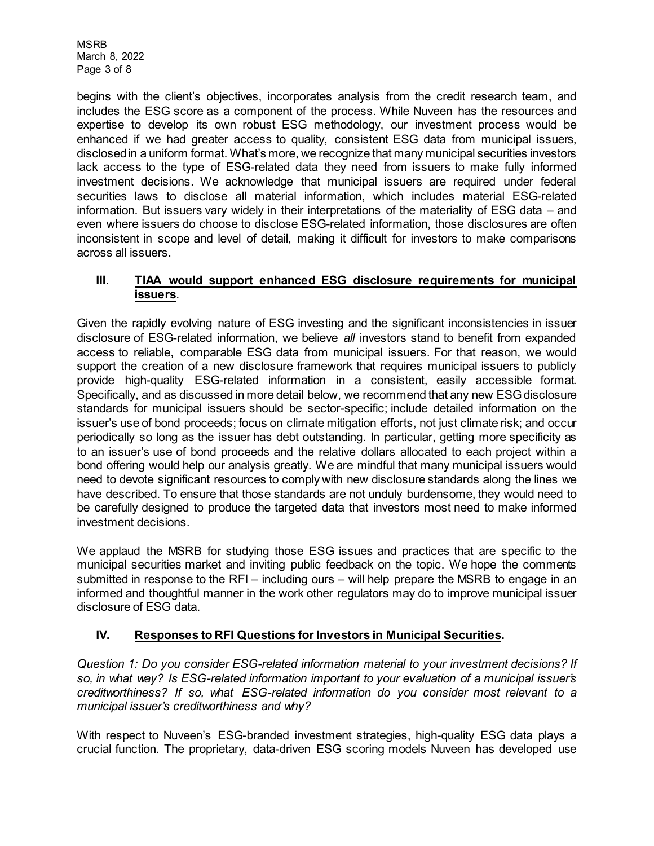MSRB March 8, 2022 Page 3 of 8

begins with the client's objectives, incorporates analysis from the credit research team, and includes the ESG score as a component of the process. While Nuveen has the resources and expertise to develop its own robust ESG methodology, our investment process would be enhanced if we had greater access to quality, consistent ESG data from municipal issuers, disclosed in a uniform format. What's more, we recognize that many municipal securities investors lack access to the type of ESG-related data they need from issuers to make fully informed investment decisions. We acknowledge that municipal issuers are required under federal securities laws to disclose all material information, which includes material ESG-related information. But issuers vary widely in their interpretations of the materiality of ESG data – and even where issuers do choose to disclose ESG-related information, those disclosures are often inconsistent in scope and level of detail, making it difficult for investors to make comparisons across all issuers.

## **III. TIAA would support enhanced ESG disclosure requirements for municipal issuers**.

Given the rapidly evolving nature of ESG investing and the significant inconsistencies in issuer disclosure of ESG-related information, we believe *all* investors stand to benefit from expanded access to reliable, comparable ESG data from municipal issuers. For that reason, we would support the creation of a new disclosure framework that requires municipal issuers to publicly provide high-quality ESG-related information in a consistent, easily accessible format. Specifically, and as discussed in more detail below, we recommend that any new ESG disclosure standards for municipal issuers should be sector-specific; include detailed information on the issuer's use of bond proceeds; focus on climate mitigation efforts, not just climate risk; and occur periodically so long as the issuer has debt outstanding. In particular, getting more specificity as to an issuer's use of bond proceeds and the relative dollars allocated to each project within a bond offering would help our analysis greatly. We are mindful that many municipal issuers would need to devote significant resources to comply with new disclosure standards along the lines we have described. To ensure that those standards are not unduly burdensome, they would need to be carefully designed to produce the targeted data that investors most need to make informed investment decisions.

We applaud the MSRB for studying those ESG issues and practices that are specific to the municipal securities market and inviting public feedback on the topic. We hope the comments submitted in response to the RFI – including ours – will help prepare the MSRB to engage in an informed and thoughtful manner in the work other regulators may do to improve municipal issuer disclosure of ESG data.

# **IV. Responses to RFI Questions for Investors in Municipal Securities.**

*Question 1: Do you consider ESG-related information material to your investment decisions? If so, in what way? Is ESG-related information important to your evaluation of a municipal issuer's creditworthiness? If so, what ESG-related information do you consider most relevant to a municipal issuer's creditworthiness and why?*

With respect to Nuveen's ESG-branded investment strategies, high-quality ESG data plays a crucial function. The proprietary, data-driven ESG scoring models Nuveen has developed use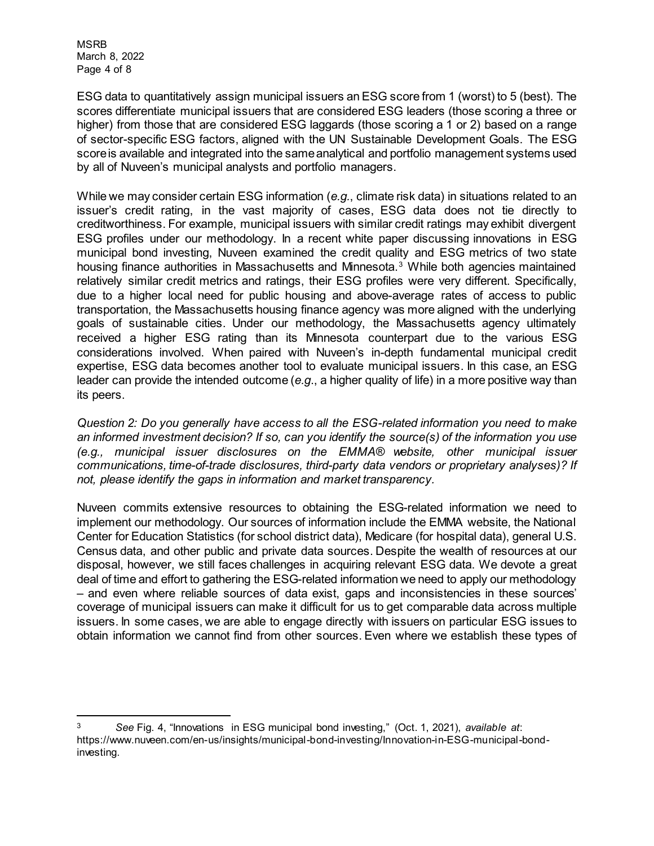MSRB March 8, 2022 Page 4 of 8

ESG data to quantitatively assign municipal issuers an ESG score from 1 (worst) to 5 (best). The scores differentiate municipal issuers that are considered ESG leaders (those scoring a three or higher) from those that are considered ESG laggards (those scoring a 1 or 2) based on a range of sector-specific ESG factors, aligned with the UN Sustainable Development Goals. The ESG score is available and integrated into the same analytical and portfolio management systems used by all of Nuveen's municipal analysts and portfolio managers.

While we may consider certain ESG information (*e.g.*, climate risk data) in situations related to an issuer's credit rating, in the vast majority of cases, ESG data does not tie directly to creditworthiness. For example, municipal issuers with similar credit ratings may exhibit divergent ESG profiles under our methodology. In a recent white paper discussing innovations in ESG municipal bond investing, Nuveen examined the credit quality and ESG metrics of two state housing finance authorities in Massachusetts and Minnesota.<sup>[3](#page-3-0)</sup> While both agencies maintained relatively similar credit metrics and ratings, their ESG profiles were very different. Specifically, due to a higher local need for public housing and above-average rates of access to public transportation, the Massachusetts housing finance agency was more aligned with the underlying goals of sustainable cities. Under our methodology, the Massachusetts agency ultimately received a higher ESG rating than its Minnesota counterpart due to the various ESG considerations involved. When paired with Nuveen's in-depth fundamental municipal credit expertise, ESG data becomes another tool to evaluate municipal issuers. In this case, an ESG leader can provide the intended outcome (*e.g*., a higher quality of life) in a more positive way than its peers.

*Question 2: Do you generally have access to all the ESG-related information you need to make an informed investment decision? If so, can you identify the source(s) of the information you use (e.g., municipal issuer disclosures on the EMMA® website, other municipal issuer communications, time-of-trade disclosures, third-party data vendors or proprietary analyses)? If not, please identify the gaps in information and market transparency.*

Nuveen commits extensive resources to obtaining the ESG-related information we need to implement our methodology. Our sources of information include the EMMA website, the National Center for Education Statistics (for school district data), Medicare (for hospital data), general U.S. Census data, and other public and private data sources. Despite the wealth of resources at our disposal, however, we still faces challenges in acquiring relevant ESG data. We devote a great deal of time and effort to gathering the ESG-related information we need to apply our methodology – and even where reliable sources of data exist, gaps and inconsistencies in these sources' coverage of municipal issuers can make it difficult for us to get comparable data across multiple issuers. In some cases, we are able to engage directly with issuers on particular ESG issues to obtain information we cannot find from other sources. Even where we establish these types of

<span id="page-3-0"></span>l <sup>3</sup> *See* Fig. 4, "Innovations in ESG municipal bond investing," (Oct. 1, 2021), *available at*: https://www.nuveen.com/en-us/insights/municipal-bond-investing/Innovation-in-ESG-municipal-bondinvesting.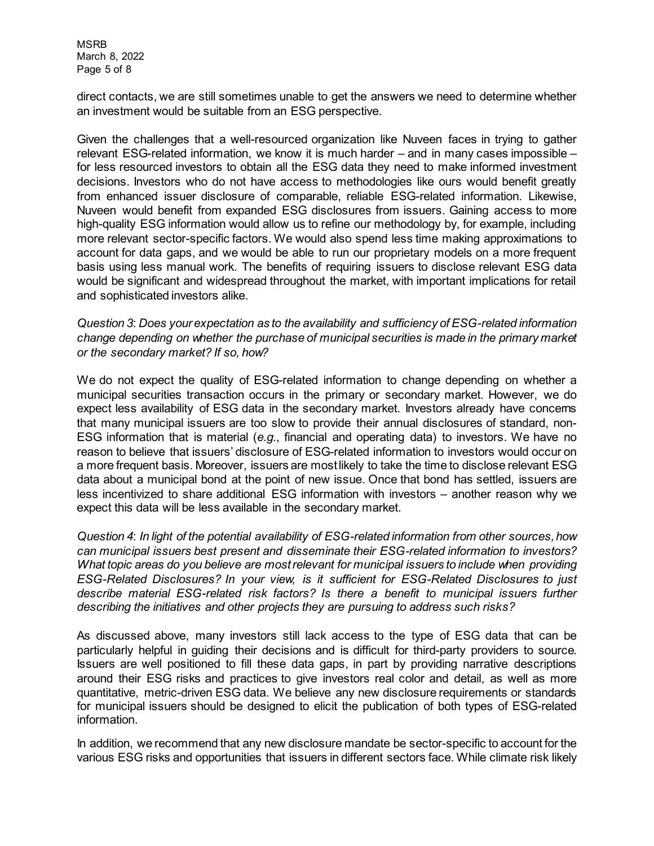MSRB March 8, 2022 Page 5 of 8

direct contacts, we are still sometimes unable to get the answers we need to determine whether an investment would be suitable from an ESG perspective.

Given the challenges that a well-resourced organization like Nuveen faces in trying to gather relevant ESG-related information, we know it is much harder – and in many cases impossible – for less resourced investors to obtain all the ESG data they need to make informed investment decisions. Investors who do not have access to methodologies like ours would benefit greatly from enhanced issuer disclosure of comparable, reliable ESG-related information. Likewise, Nuveen would benefit from expanded ESG disclosures from issuers. Gaining access to more high-quality ESG information would allow us to refine our methodology by, for example, including more relevant sector-specific factors. We would also spend less time making approximations to account for data gaps, and we would be able to run our proprietary models on a more frequent basis using less manual work. The benefits of requiring issuers to disclose relevant ESG data would be significant and widespread throughout the market, with important implications for retail and sophisticated investors alike.

*Question 3*: *Does your expectation as to the availability and sufficiency of ESG-related information change depending on whether the purchase of municipal securities is made in the primary market or the secondary market? If so, how?*

We do not expect the quality of ESG-related information to change depending on whether a municipal securities transaction occurs in the primary or secondary market. However, we do expect less availability of ESG data in the secondary market. Investors already have concerns that many municipal issuers are too slow to provide their annual disclosures of standard, non-ESG information that is material (*e.g.*, financial and operating data) to investors. We have no reason to believe that issuers' disclosure of ESG-related information to investors would occur on a more frequent basis. Moreover, issuers are most likely to take the time to disclose relevant ESG data about a municipal bond at the point of new issue. Once that bond has settled, issuers are less incentivized to share additional ESG information with investors – another reason why we expect this data will be less available in the secondary market.

*Question 4*: *In light of the potential availability of ESG-related information from other sources, how can municipal issuers best present and disseminate their ESG-related information to investors? What topic areas do you believe are most relevant for municipal issuers to include when providing ESG-Related Disclosures? In your view, is it sufficient for ESG-Related Disclosures to just describe material ESG-related risk factors? Is there a benefit to municipal issuers further describing the initiatives and other projects they are pursuing to address such risks?*

As discussed above, many investors still lack access to the type of ESG data that can be particularly helpful in guiding their decisions and is difficult for third-party providers to source. Issuers are well positioned to fill these data gaps, in part by providing narrative descriptions around their ESG risks and practices to give investors real color and detail, as well as more quantitative, metric-driven ESG data. We believe any new disclosure requirements or standards for municipal issuers should be designed to elicit the publication of both types of ESG-related information.

In addition, we recommend that any new disclosure mandate be sector-specific to account for the various ESG risks and opportunities that issuers in different sectors face. While climate risk likely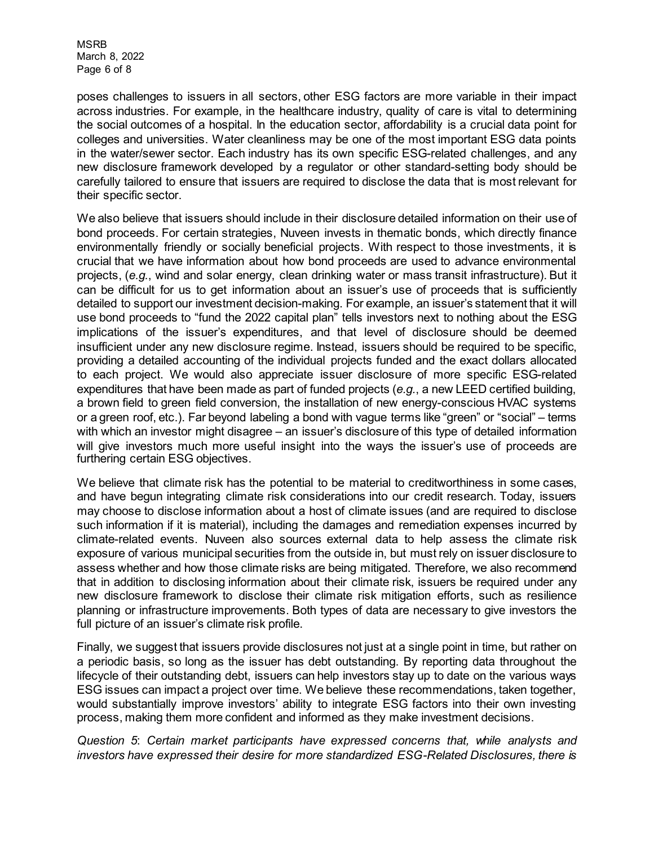MSRB March 8, 2022 Page 6 of 8

poses challenges to issuers in all sectors, other ESG factors are more variable in their impact across industries. For example, in the healthcare industry, quality of care is vital to determining the social outcomes of a hospital. In the education sector, affordability is a crucial data point for colleges and universities. Water cleanliness may be one of the most important ESG data points in the water/sewer sector. Each industry has its own specific ESG-related challenges, and any new disclosure framework developed by a regulator or other standard-setting body should be carefully tailored to ensure that issuers are required to disclose the data that is most relevant for their specific sector.

We also believe that issuers should include in their disclosure detailed information on their use of bond proceeds. For certain strategies, Nuveen invests in thematic bonds, which directly finance environmentally friendly or socially beneficial projects. With respect to those investments, it is crucial that we have information about how bond proceeds are used to advance environmental projects, (*e.g.*, wind and solar energy, clean drinking water or mass transit infrastructure). But it can be difficult for us to get information about an issuer's use of proceeds that is sufficiently detailed to support our investment decision-making. For example, an issuer's statement that it will use bond proceeds to "fund the 2022 capital plan" tells investors next to nothing about the ESG implications of the issuer's expenditures, and that level of disclosure should be deemed insufficient under any new disclosure regime. Instead, issuers should be required to be specific, providing a detailed accounting of the individual projects funded and the exact dollars allocated to each project. We would also appreciate issuer disclosure of more specific ESG-related expenditures that have been made as part of funded projects (*e.g.*, a new LEED certified building, a brown field to green field conversion, the installation of new energy-conscious HVAC systems or a green roof, etc.). Far beyond labeling a bond with vague terms like "green" or "social" – terms with which an investor might disagree – an issuer's disclosure of this type of detailed information will give investors much more useful insight into the ways the issuer's use of proceeds are furthering certain ESG objectives.

We believe that climate risk has the potential to be material to creditworthiness in some cases, and have begun integrating climate risk considerations into our credit research. Today, issuers may choose to disclose information about a host of climate issues (and are required to disclose such information if it is material), including the damages and remediation expenses incurred by climate-related events. Nuveen also sources external data to help assess the climate risk exposure of various municipal securities from the outside in, but must rely on issuer disclosure to assess whether and how those climate risks are being mitigated. Therefore, we also recommend that in addition to disclosing information about their climate risk, issuers be required under any new disclosure framework to disclose their climate risk mitigation efforts, such as resilience planning or infrastructure improvements. Both types of data are necessary to give investors the full picture of an issuer's climate risk profile.

Finally, we suggest that issuers provide disclosures not just at a single point in time, but rather on a periodic basis, so long as the issuer has debt outstanding. By reporting data throughout the lifecycle of their outstanding debt, issuers can help investors stay up to date on the various ways ESG issues can impact a project over time. We believe these recommendations, taken together, would substantially improve investors' ability to integrate ESG factors into their own investing process, making them more confident and informed as they make investment decisions.

*Question 5*: *Certain market participants have expressed concerns that, while analysts and investors have expressed their desire for more standardized ESG-Related Disclosures, there is*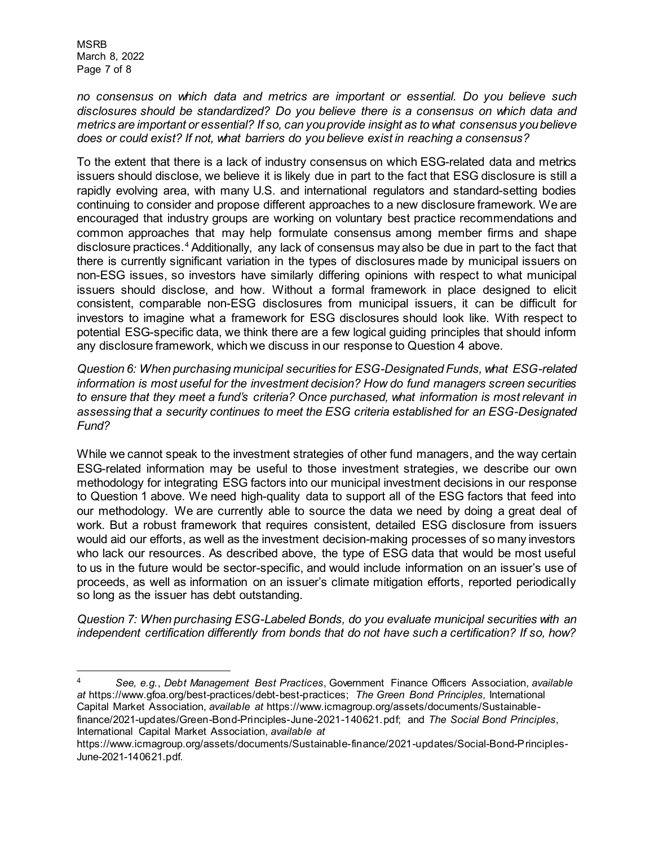MSRB March 8, 2022 Page 7 of 8

l

*no consensus on which data and metrics are important or essential. Do you believe such disclosures should be standardized? Do you believe there is a consensus on which data and metrics are important or essential? If so, can you provide insight as to what consensus you believe does or could exist? If not, what barriers do you believe exist in reaching a consensus?*

To the extent that there is a lack of industry consensus on which ESG-related data and metrics issuers should disclose, we believe it is likely due in part to the fact that ESG disclosure is still a rapidly evolving area, with many U.S. and international regulators and standard-setting bodies continuing to consider and propose different approaches to a new disclosure framework. We are encouraged that industry groups are working on voluntary best practice recommendations and common approaches that may help formulate consensus among member firms and shape disclosure practices.<sup>[4](#page-6-0)</sup> Additionally, any lack of consensus may also be due in part to the fact that there is currently significant variation in the types of disclosures made by municipal issuers on non-ESG issues, so investors have similarly differing opinions with respect to what municipal issuers should disclose, and how. Without a formal framework in place designed to elicit consistent, comparable non-ESG disclosures from municipal issuers, it can be difficult for investors to imagine what a framework for ESG disclosures should look like. With respect to potential ESG-specific data, we think there are a few logical guiding principles that should inform any disclosure framework, which we discuss in our response to Question 4 above.

*Question 6: When purchasing municipal securities for ESG-Designated Funds, what ESG-related information is most useful for the investment decision? How do fund managers screen securities to ensure that they meet a fund's criteria? Once purchased, what information is most relevant in assessing that a security continues to meet the ESG criteria established for an ESG-Designated Fund?*

While we cannot speak to the investment strategies of other fund managers, and the way certain ESG-related information may be useful to those investment strategies, we describe our own methodology for integrating ESG factors into our municipal investment decisions in our response to Question 1 above. We need high-quality data to support all of the ESG factors that feed into our methodology. We are currently able to source the data we need by doing a great deal of work. But a robust framework that requires consistent, detailed ESG disclosure from issuers would aid our efforts, as well as the investment decision-making processes of so many investors who lack our resources. As described above, the type of ESG data that would be most useful to us in the future would be sector-specific, and would include information on an issuer's use of proceeds, as well as information on an issuer's climate mitigation efforts, reported periodically so long as the issuer has debt outstanding.

*Question 7: When purchasing ESG-Labeled Bonds, do you evaluate municipal securities with an independent certification differently from bonds that do not have such a certification? If so, how?* 

<span id="page-6-0"></span><sup>4</sup> *See, e.g.*, *Debt Management Best Practices*, Government Finance Officers Association, *available at* https://www.gfoa.org/best-practices/debt-best-practices; *The Green Bond Principles,* International Capital Market Association, *available at* https://www.icmagroup.org/assets/documents/Sustainablefinance/2021-updates/Green-Bond-Principles-June-2021-140621.pdf; and *The Social Bond Principles*, International Capital Market Association, *available at*

https://www.icmagroup.org/assets/documents/Sustainable-finance/2021-updates/Social-Bond-Principles-June-2021-140621.pdf.